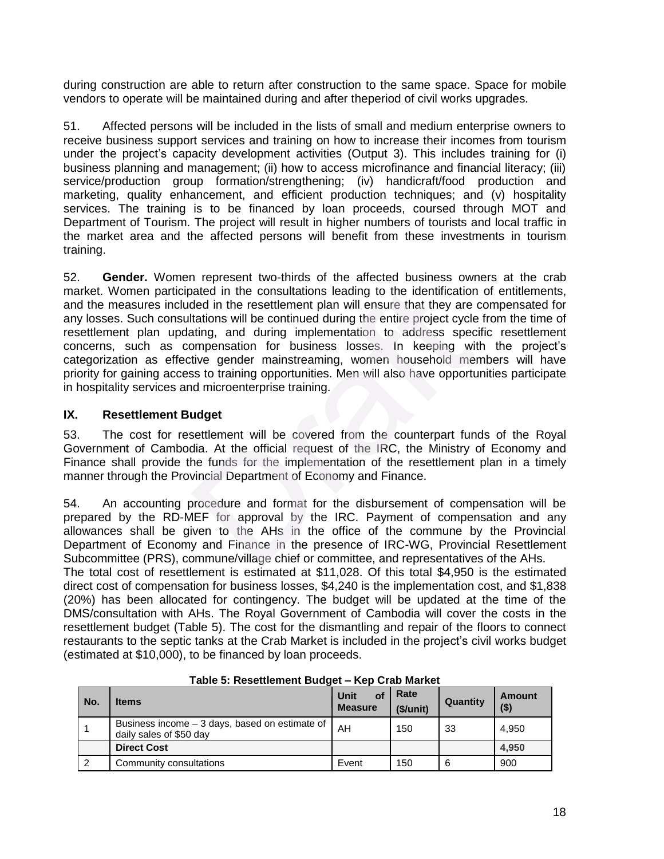during construction are able to return after construction to the same space. Space for mobile vendors to operate will be maintained during and after theperiod of civil works upgrades.

51. Affected persons will be included in the lists of small and medium enterprise owners to receive business support services and training on how to increase their incomes from tourism under the project's capacity development activities (Output 3). This includes training for (i) business planning and management; (ii) how to access microfinance and financial literacy; (iii) service/production group formation/strengthening; (iv) handicraft/food production and marketing, quality enhancement, and efficient production techniques; and (v) hospitality services. The training is to be financed by loan proceeds, coursed through MOT and Department of Tourism. The project will result in higher numbers of tourists and local traffic in the market area and the affected persons will benefit from these investments in tourism training.

52. **Gender.** Women represent two-thirds of the affected business owners at the crab market. Women participated in the consultations leading to the identification of entitlements, and the measures included in the resettlement plan will ensure that they are compensated for any losses. Such consultations will be continued during the entire project cycle from the time of resettlement plan updating, and during implementation to address specific resettlement concerns, such as compensation for business losses. In keeping with the project's categorization as effective gender mainstreaming, women household members will have priority for gaining access to training opportunities. Men will also have opportunities participate in hospitality services and microenterprise training. ated in the consultations leading to the identification<br>ded in the resettlement plan will ensure that they are<br>tations will be continued during the entire project cycle<br>ating, and during implementation to address spec<br>ompe

# **IX. Resettlement Budget**

53. The cost for resettlement will be covered from the counterpart funds of the Royal Government of Cambodia. At the official request of the IRC, the Ministry of Economy and Finance shall provide the funds for the implementation of the resettlement plan in a timely manner through the Provincial Department of Economy and Finance.

54. An accounting procedure and format for the disbursement of compensation will be prepared by the RD-MEF for approval by the IRC. Payment of compensation and any allowances shall be given to the AHs in the office of the commune by the Provincial Department of Economy and Finance in the presence of IRC-WG, Provincial Resettlement Subcommittee (PRS), commune/village chief or committee, and representatives of the AHs.

The total cost of resettlement is estimated at \$11,028. Of this total \$4,950 is the estimated direct cost of compensation for business losses, \$4,240 is the implementation cost, and \$1,838 (20%) has been allocated for contingency. The budget will be updated at the time of the DMS/consultation with AHs. The Royal Government of Cambodia will cover the costs in the resettlement budget (Table 5). The cost for the dismantling and repair of the floors to connect restaurants to the septic tanks at the Crab Market is included in the project's civil works budget (estimated at \$10,000), to be financed by loan proceeds.

| No. | <b>Items</b>                                                              | Unit<br><b>Measure</b> | Rate<br>\$/unit) | Quantity | Amount<br>$($ \$) |
|-----|---------------------------------------------------------------------------|------------------------|------------------|----------|-------------------|
|     | Business income - 3 days, based on estimate of<br>daily sales of \$50 day | AH                     | 150              | 33       | 4.950             |
|     | <b>Direct Cost</b>                                                        |                        |                  |          | 4.950             |
| 2   | Community consultations                                                   | Event                  | 150              | 6        | 900               |

**Table 5: Resettlement Budget – Kep Crab Market**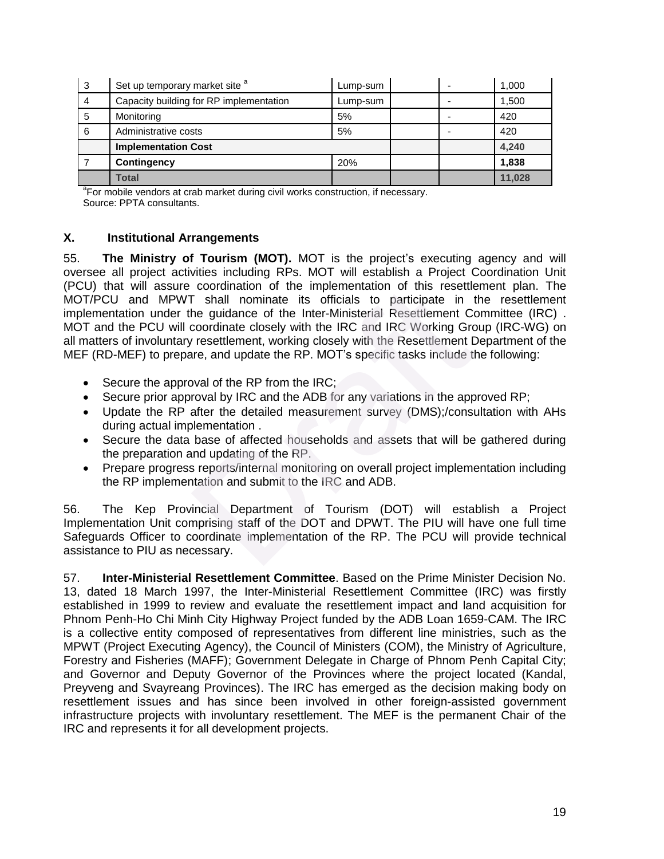| 3 | Set up temporary market site <sup>a</sup> | Lump-sum |   | 1,000  |
|---|-------------------------------------------|----------|---|--------|
| 4 | Capacity building for RP implementation   | Lump-sum |   | 1,500  |
| 5 | Monitoring                                | 5%       | - | 420    |
| 6 | Administrative costs                      | 5%       |   | 420    |
|   | <b>Implementation Cost</b>                |          |   | 4,240  |
|   | <b>Contingency</b>                        | 20%      |   | 1,838  |
|   | <b>Total</b>                              |          |   | 11,028 |

<sup>a</sup>For mobile vendors at crab market during civil works construction, if necessary. Source: PPTA consultants.

# **X. Institutional Arrangements**

55. **The Ministry of Tourism (MOT).** MOT is the project's executing agency and will oversee all project activities including RPs. MOT will establish a Project Coordination Unit (PCU) that will assure coordination of the implementation of this resettlement plan. The MOT/PCU and MPWT shall nominate its officials to participate in the resettlement implementation under the guidance of the Inter-Ministerial Resettlement Committee (IRC) . MOT and the PCU will coordinate closely with the IRC and IRC Working Group (IRC-WG) on all matters of involuntary resettlement, working closely with the Resettlement Department of the MEF (RD-MEF) to prepare, and update the RP. MOT's specific tasks include the following: coordination of the implementation of this resettle<br>
If shall nominate its officials to participate in the guidance of the Inter-Ministerial Resettlement Co<br>
coordinate closely with the IRC and IRC Working Grosetlement<br>
re

- Secure the approval of the RP from the IRC;
- Secure prior approval by IRC and the ADB for any variations in the approved RP;
- Update the RP after the detailed measurement survey (DMS);/consultation with AHs during actual implementation .
- Secure the data base of affected households and assets that will be gathered during the preparation and updating of the RP.
- Prepare progress reports/internal monitoring on overall project implementation including the RP implementation and submit to the IRC and ADB.

56. The Kep Provincial Department of Tourism (DOT) will establish a Project Implementation Unit comprising staff of the DOT and DPWT. The PIU will have one full time Safeguards Officer to coordinate implementation of the RP. The PCU will provide technical assistance to PIU as necessary.

57. **Inter-Ministerial Resettlement Committee**. Based on the Prime Minister Decision No. 13, dated 18 March 1997, the Inter-Ministerial Resettlement Committee (IRC) was firstly established in 1999 to review and evaluate the resettlement impact and land acquisition for Phnom Penh-Ho Chi Minh City Highway Project funded by the ADB Loan 1659-CAM. The IRC is a collective entity composed of representatives from different line ministries, such as the MPWT (Project Executing Agency), the Council of Ministers (COM), the Ministry of Agriculture, Forestry and Fisheries (MAFF); Government Delegate in Charge of Phnom Penh Capital City; and Governor and Deputy Governor of the Provinces where the project located (Kandal, Preyveng and Svayreang Provinces). The IRC has emerged as the decision making body on resettlement issues and has since been involved in other foreign-assisted government infrastructure projects with involuntary resettlement. The MEF is the permanent Chair of the IRC and represents it for all development projects.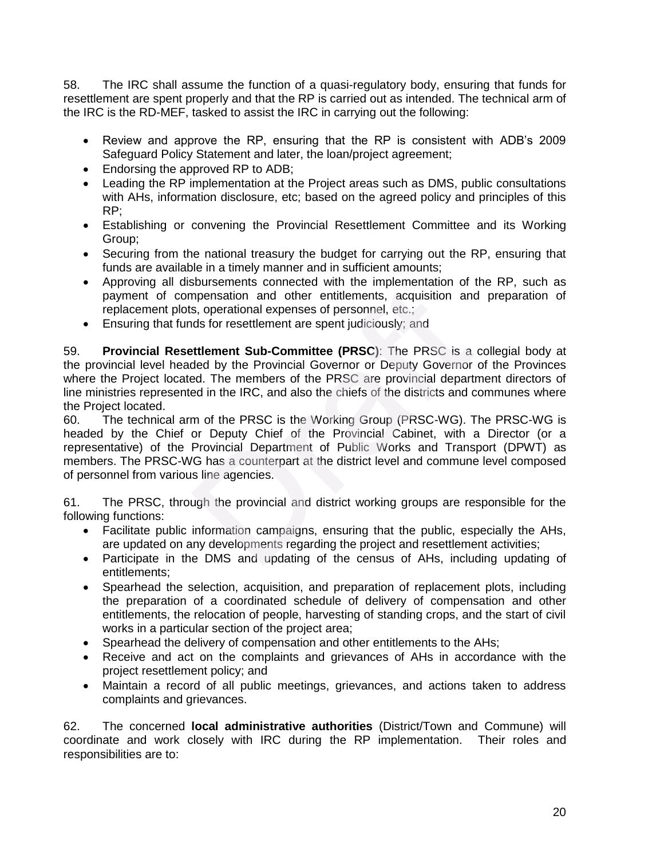58. The IRC shall assume the function of a quasi-regulatory body, ensuring that funds for resettlement are spent properly and that the RP is carried out as intended. The technical arm of the IRC is the RD-MEF, tasked to assist the IRC in carrying out the following:

- Review and approve the RP, ensuring that the RP is consistent with ADB's 2009 Safeguard Policy Statement and later, the loan/project agreement;
- Endorsing the approved RP to ADB;
- Leading the RP implementation at the Project areas such as DMS, public consultations with AHs, information disclosure, etc; based on the agreed policy and principles of this RP;
- Establishing or convening the Provincial Resettlement Committee and its Working Group;
- Securing from the national treasury the budget for carrying out the RP, ensuring that funds are available in a timely manner and in sufficient amounts;
- Approving all disbursements connected with the implementation of the RP, such as payment of compensation and other entitlements, acquisition and preparation of replacement plots, operational expenses of personnel, etc.;
- Ensuring that funds for resettlement are spent judiciously; and

59. **Provincial Resettlement Sub-Committee (PRSC)**: The PRSC is a collegial body at the provincial level headed by the Provincial Governor or Deputy Governor of the Provinces where the Project located. The members of the PRSC are provincial department directors of line ministries represented in the IRC, and also the chiefs of the districts and communes where the Project located. Bourgestation and other entitlements, acquisition and<br>stationarism comments of the minimum and other entitlements, acquisition and<br>ds for resettlement are spent judiciously; and<br>terment Sub-Committee (PRSC): The PRSC is a<br>

60. The technical arm of the PRSC is the Working Group (PRSC-WG). The PRSC-WG is headed by the Chief or Deputy Chief of the Provincial Cabinet, with a Director (or a representative) of the Provincial Department of Public Works and Transport (DPWT) as members. The PRSC-WG has a counterpart at the district level and commune level composed of personnel from various line agencies.

61. The PRSC, through the provincial and district working groups are responsible for the following functions:

- Facilitate public information campaigns, ensuring that the public, especially the AHs, are updated on any developments regarding the project and resettlement activities;
- Participate in the DMS and updating of the census of AHs, including updating of entitlements;
- Spearhead the selection, acquisition, and preparation of replacement plots, including the preparation of a coordinated schedule of delivery of compensation and other entitlements, the relocation of people, harvesting of standing crops, and the start of civil works in a particular section of the project area;
- Spearhead the delivery of compensation and other entitlements to the AHs;
- Receive and act on the complaints and grievances of AHs in accordance with the project resettlement policy; and
- Maintain a record of all public meetings, grievances, and actions taken to address complaints and grievances.

62. The concerned **local administrative authorities** (District/Town and Commune) will coordinate and work closely with IRC during the RP implementation. Their roles and responsibilities are to: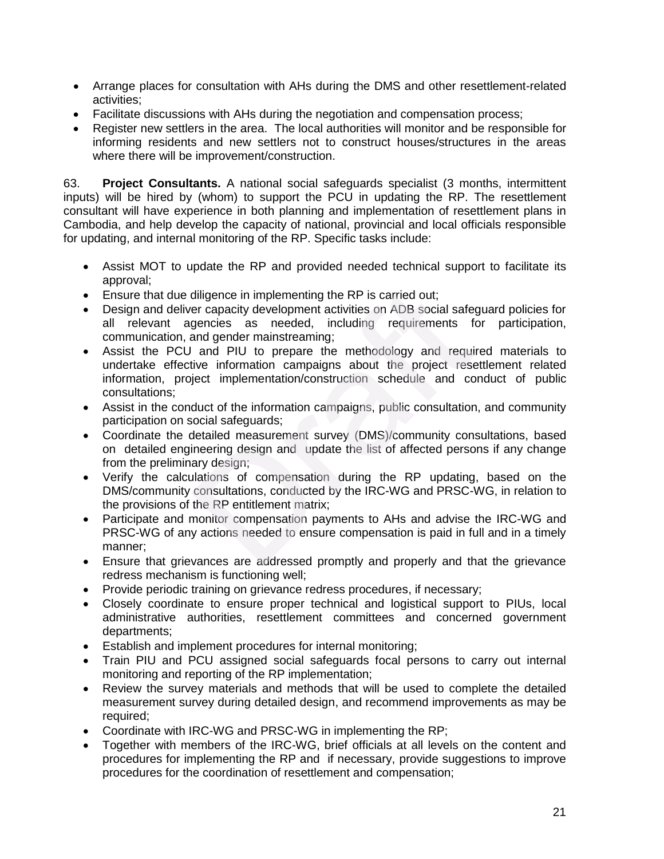- Arrange places for consultation with AHs during the DMS and other resettlement-related activities;
- Facilitate discussions with AHs during the negotiation and compensation process;
- Register new settlers in the area. The local authorities will monitor and be responsible for informing residents and new settlers not to construct houses/structures in the areas where there will be improvement/construction.

63. **Project Consultants.** A national social safeguards specialist (3 months, intermittent inputs) will be hired by (whom) to support the PCU in updating the RP. The resettlement consultant will have experience in both planning and implementation of resettlement plans in Cambodia, and help develop the capacity of national, provincial and local officials responsible for updating, and internal monitoring of the RP. Specific tasks include:

- Assist MOT to update the RP and provided needed technical support to facilitate its approval;
- Ensure that due diligence in implementing the RP is carried out;
- Design and deliver capacity development activities on ADB social safeguard policies for all relevant agencies as needed, including requirements for participation, communication, and gender mainstreaming;
- Assist the PCU and PIU to prepare the methodology and required materials to undertake effective information campaigns about the project resettlement related information, project implementation/construction schedule and conduct of public consultations; diligence in implementing the RP is carried out;<br>er capacity development activities on ADB social safegencies as needed, including requirements from<br>and gender mainstreaming;<br>and PIU to prepare the methodology and requirem
- Assist in the conduct of the information campaigns, public consultation, and community participation on social safeguards;
- Coordinate the detailed measurement survey (DMS)/community consultations, based on detailed engineering design and update the list of affected persons if any change from the preliminary design;
- Verify the calculations of compensation during the RP updating, based on the DMS/community consultations, conducted by the IRC-WG and PRSC-WG, in relation to the provisions of the RP entitlement matrix;
- Participate and monitor compensation payments to AHs and advise the IRC-WG and PRSC-WG of any actions needed to ensure compensation is paid in full and in a timely manner;
- Ensure that grievances are addressed promptly and properly and that the grievance redress mechanism is functioning well;
- Provide periodic training on grievance redress procedures, if necessary;
- Closely coordinate to ensure proper technical and logistical support to PIUs, local administrative authorities, resettlement committees and concerned government departments;
- Establish and implement procedures for internal monitoring;
- Train PIU and PCU assigned social safeguards focal persons to carry out internal monitoring and reporting of the RP implementation;
- Review the survey materials and methods that will be used to complete the detailed measurement survey during detailed design, and recommend improvements as may be required;
- Coordinate with IRC-WG and PRSC-WG in implementing the RP;
- Together with members of the IRC-WG, brief officials at all levels on the content and procedures for implementing the RP and if necessary, provide suggestions to improve procedures for the coordination of resettlement and compensation;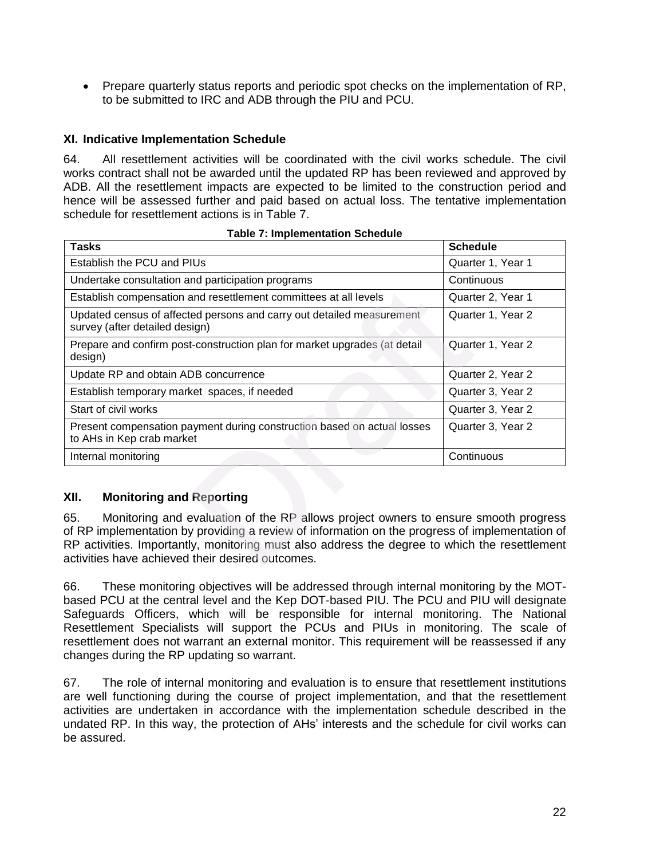Prepare quarterly status reports and periodic spot checks on the implementation of RP, to be submitted to IRC and ADB through the PIU and PCU.

# **XI. Indicative Implementation Schedule**

64. All resettlement activities will be coordinated with the civil works schedule. The civil works contract shall not be awarded until the updated RP has been reviewed and approved by ADB. All the resettlement impacts are expected to be limited to the construction period and hence will be assessed further and paid based on actual loss. The tentative implementation schedule for resettlement actions is in Table 7.

| <b>Tasks</b>                                                                                                                                                                                                                                                                                                                                                                                 | <b>Schedule</b>   |  |  |
|----------------------------------------------------------------------------------------------------------------------------------------------------------------------------------------------------------------------------------------------------------------------------------------------------------------------------------------------------------------------------------------------|-------------------|--|--|
| Establish the PCU and PIUs                                                                                                                                                                                                                                                                                                                                                                   | Quarter 1, Year 1 |  |  |
| Undertake consultation and participation programs                                                                                                                                                                                                                                                                                                                                            | Continuous        |  |  |
| Establish compensation and resettlement committees at all levels                                                                                                                                                                                                                                                                                                                             | Quarter 2, Year 1 |  |  |
| Updated census of affected persons and carry out detailed measurement<br>survey (after detailed design)                                                                                                                                                                                                                                                                                      | Quarter 1, Year 2 |  |  |
| Prepare and confirm post-construction plan for market upgrades (at detail<br>design)                                                                                                                                                                                                                                                                                                         | Quarter 1, Year 2 |  |  |
| Update RP and obtain ADB concurrence                                                                                                                                                                                                                                                                                                                                                         | Quarter 2, Year 2 |  |  |
| Establish temporary market spaces, if needed                                                                                                                                                                                                                                                                                                                                                 | Quarter 3, Year 2 |  |  |
| Start of civil works                                                                                                                                                                                                                                                                                                                                                                         | Quarter 3, Year 2 |  |  |
| Present compensation payment during construction based on actual losses<br>to AHs in Kep crab market                                                                                                                                                                                                                                                                                         | Quarter 3, Year 2 |  |  |
| Internal monitoring                                                                                                                                                                                                                                                                                                                                                                          | Continuous        |  |  |
| XII.<br><b>Monitoring and Reporting</b><br>Monitoring and evaluation of the RP allows project owners to ensure smooth progress<br>65.<br>of RP implementation by providing a review of information on the progress of implementation of<br>RP activities. Importantly, monitoring must also address the degree to which the resettlement<br>activities have achieved their desired outcomes. |                   |  |  |

## **Table 7: Implementation Schedule**

# **XII. Monitoring and Reporting**

66. These monitoring objectives will be addressed through internal monitoring by the MOTbased PCU at the central level and the Kep DOT-based PIU. The PCU and PIU will designate Safeguards Officers, which will be responsible for internal monitoring. The National Resettlement Specialists will support the PCUs and PIUs in monitoring. The scale of resettlement does not warrant an external monitor. This requirement will be reassessed if any changes during the RP updating so warrant.

67. The role of internal monitoring and evaluation is to ensure that resettlement institutions are well functioning during the course of project implementation, and that the resettlement activities are undertaken in accordance with the implementation schedule described in the undated RP. In this way, the protection of AHs' interests and the schedule for civil works can be assured.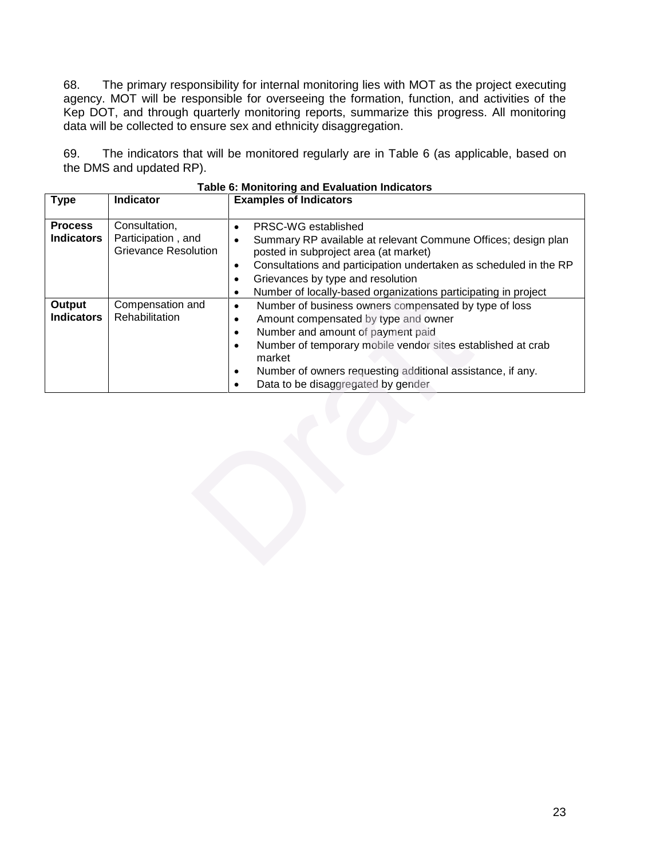68. The primary responsibility for internal monitoring lies with MOT as the project executing agency. MOT will be responsible for overseeing the formation, function, and activities of the Kep DOT, and through quarterly monitoring reports, summarize this progress. All monitoring data will be collected to ensure sex and ethnicity disaggregation.

69. The indicators that will be monitored regularly are in Table 6 (as applicable, based on the DMS and updated RP).

| Type                                | <b>Indicator</b>                                                   | <b>Examples of Indicators</b>                                                                                                                                                                                                                                                                                                                                                         |
|-------------------------------------|--------------------------------------------------------------------|---------------------------------------------------------------------------------------------------------------------------------------------------------------------------------------------------------------------------------------------------------------------------------------------------------------------------------------------------------------------------------------|
| <b>Process</b><br><b>Indicators</b> | Consultation,<br>Participation, and<br><b>Grievance Resolution</b> | PRSC-WG established<br>$\bullet$<br>Summary RP available at relevant Commune Offices; design plan<br>$\bullet$<br>posted in subproject area (at market)<br>Consultations and participation undertaken as scheduled in the RP<br>$\bullet$<br>Grievances by type and resolution<br>$\bullet$<br>Number of locally-based organizations participating in project<br>$\bullet$            |
| Output<br><b>Indicators</b>         | Compensation and<br>Rehabilitation                                 | Number of business owners compensated by type of loss<br>$\bullet$<br>Amount compensated by type and owner<br>٠<br>Number and amount of payment paid<br>$\bullet$<br>Number of temporary mobile vendor sites established at crab<br>$\bullet$<br>market<br>Number of owners requesting additional assistance, if any.<br>$\bullet$<br>Data to be disaggregated by gender<br>$\bullet$ |
|                                     |                                                                    |                                                                                                                                                                                                                                                                                                                                                                                       |

| Table 6: Monitoring and Evaluation Indicators |  |
|-----------------------------------------------|--|
|-----------------------------------------------|--|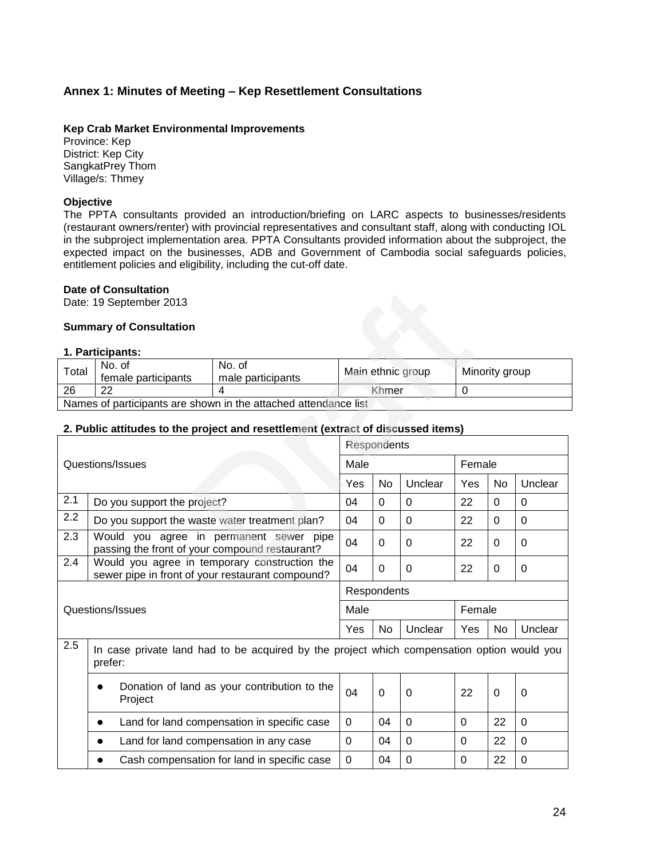# **Annex 1: Minutes of Meeting – Kep Resettlement Consultations**

## **Kep Crab Market Environmental Improvements**

Province: Kep District: Kep City SangkatPrey Thom Village/s: Thmey

## **Objective**

The PPTA consultants provided an introduction/briefing on LARC aspects to businesses/residents (restaurant owners/renter) with provincial representatives and consultant staff, along with conducting IOL in the subproject implementation area. PPTA Consultants provided information about the subproject, the expected impact on the businesses, ADB and Government of Cambodia social safeguards policies, entitlement policies and eligibility, including the cut-off date.

#### **Date of Consultation**

#### **Summary of Consultation**

#### **1. Participants:**

| Total | No. of<br>female participants | No. of<br>male participants                                     | Main ethnic group | Minority group |
|-------|-------------------------------|-----------------------------------------------------------------|-------------------|----------------|
| 26    | 22                            |                                                                 | Khmer             |                |
|       |                               | Names of participants are shown in the attached attendance list |                   |                |

## **2. Public attitudes to the project and resettlement (extract of discussed items)**

|       | <b>Date of Consultation</b>                                                                           |                                              |                |             |                   |                  |                |                |
|-------|-------------------------------------------------------------------------------------------------------|----------------------------------------------|----------------|-------------|-------------------|------------------|----------------|----------------|
|       | Date: 19 September 2013                                                                               |                                              |                |             |                   |                  |                |                |
|       | <b>Summary of Consultation</b>                                                                        |                                              |                |             |                   |                  |                |                |
|       | 1. Participants:                                                                                      |                                              |                |             |                   |                  |                |                |
| Total | No. of<br>female participants                                                                         | No. of<br>male participants                  |                |             | Main ethnic group |                  | Minority group |                |
| 26    | 22                                                                                                    | 4                                            |                | Khmer       |                   | $\boldsymbol{0}$ |                |                |
|       | Names of participants are shown in the attached attendance list                                       |                                              |                |             |                   |                  |                |                |
|       | 2. Public attitudes to the project and resettlement (extract of discussed items)                      |                                              |                |             |                   |                  |                |                |
|       |                                                                                                       |                                              |                | Respondents |                   |                  |                |                |
|       | Questions/Issues                                                                                      |                                              | Male           |             |                   | Female           |                |                |
|       |                                                                                                       |                                              | Yes            | No          | Unclear           | Yes              | No             | Unclear        |
| 2.1   | Do you support the project?                                                                           |                                              | 04             | $\mathbf 0$ | $\overline{0}$    | 22               | 0              | 0              |
| 2.2   | Do you support the waste water treatment plan?                                                        |                                              | 04             | 0           | $\overline{0}$    | 22               | 0              | $\mathbf 0$    |
| 2.3   | passing the front of your compound restaurant?                                                        | Would you agree in permanent sewer pipe      | 04             | $\Omega$    | $\Omega$          | 22               | 0              | 0              |
| 2.4   | Would you agree in temporary construction the<br>sewer pipe in front of your restaurant compound?     |                                              | 04             | $\mathbf 0$ | $\overline{0}$    | 22               | 0              | 0              |
|       |                                                                                                       |                                              |                | Respondents |                   |                  |                |                |
|       | Questions/Issues                                                                                      |                                              | Male           |             |                   | Female           |                |                |
|       |                                                                                                       |                                              | Yes            | No          | Unclear           | Yes              | No             | Unclear        |
| 2.5   | In case private land had to be acquired by the project which compensation option would you<br>prefer: |                                              |                |             |                   |                  |                |                |
|       | Project                                                                                               | Donation of land as your contribution to the | 04             | $\Omega$    | $\Omega$          | 22               | $\mathbf 0$    | $\overline{0}$ |
|       | $\bullet$                                                                                             | Land for land compensation in specific case  | $\overline{0}$ | 04          | $\overline{0}$    | $\mathbf 0$      | 22             | $\mathbf 0$    |
|       | $\bullet$                                                                                             | Land for land compensation in any case       | $\overline{0}$ | 04          | $\overline{0}$    | $\mathbf 0$      | 22             | $\mathbf 0$    |
|       |                                                                                                       | Cash compensation for land in specific case  | $\overline{0}$ | 04          | $\Omega$          | $\mathbf 0$      | 22             | 0              |